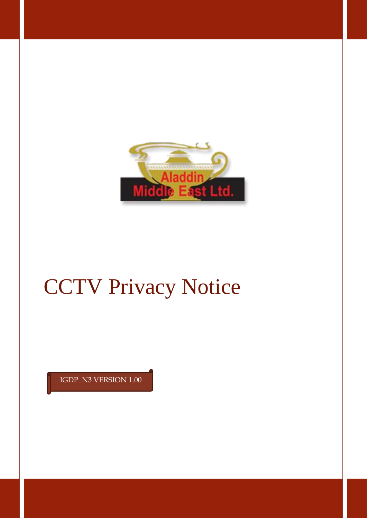

# CCTV Privacy Notice

IGDP\_N3 VERSION 1.00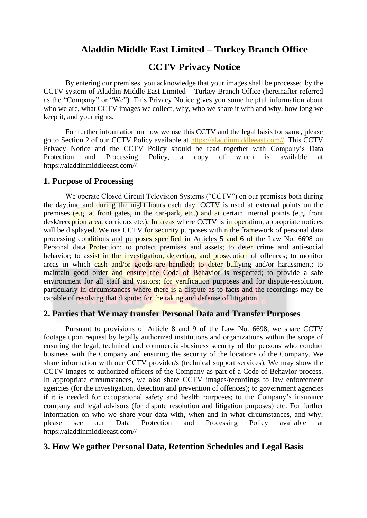## **Aladdin Middle East Limited – Turkey Branch Office**

## **CCTV Privacy Notice**

By entering our premises, you acknowledge that your images shall be processed by the CCTV system of Aladdin Middle East Limited – Turkey Branch Office (hereinafter referred as the "Company" or "We"). This Privacy Notice gives you some helpful information about who we are, what CCTV images we collect, why, who we share it with and why, how long we keep it, and your rights.

For further information on how we use this CCTV and the legal basis for same, please go to Section 2 of our CCTV Policy available at [https://aladdinmiddleeast.com//.](https://aladdinmiddleeast.com/) This CCTV Privacy Notice and the CCTV Policy should be read together with Company's Data Protection and Processing Policy, a copy of which is available at https://aladdinmiddleeast.com//

#### **1. Purpose of Processing**

We operate Closed Circuit Television Systems ("CCTV") on our premises both during the daytime and during the night hours each day. CCTV is used at external points on the premises (e.g. at front gates, in the car-park, etc.) and at certain internal points (e.g. front desk/reception area, corridors etc.). In areas where CCTV is in operation, appropriate notices will be displayed. We use CCTV for security purposes within the framework of personal data processing conditions and purposes specified in Articles 5 and 6 of the Law No. 6698 on Personal data **Protection**; to protect premises and assets; to deter crime and anti-social behavior; to assist in the investigation, detection, and prosecution of offences; to monitor areas in which cash and/or goods are handled; to deter bullying and/or harassment; to maintain good order and ensure the Code of Behavior is respected; to provide a safe environment for all staff and visitors; for verification purposes and for dispute-resolution, particularly in circumstances where there is a dispute as to facts and the recordings may be capable of resolving that dispute; for the taking and defense of litigation

#### **2. Parties that We may transfer Personal Data and Transfer Purposes**

Pursuant to provisions of Article 8 and 9 of the Law No. 6698, we share CCTV footage upon request by legally authorized institutions and organizations within the scope of ensuring the legal, technical and commercial-business security of the persons who conduct business with the Company and ensuring the security of the locations of the Company. We share information with our CCTV provider/s (technical support services). We may show the CCTV images to authorized officers of the Company as part of a Code of Behavior process. In appropriate circumstances, we also share CCTV images/recordings to law enforcement agencies (for the investigation, detection and prevention of offences); to government agencies if it is needed for occupational safety and health purposes; to the Company's insurance company and legal advisors (for dispute resolution and litigation purposes) etc. For further information on who we share your data with, when and in what circumstances, and why, please see our Data Protection and Processing Policy available at https://aladdinmiddleeast.com//

#### **3. How We gather Personal Data, Retention Schedules and Legal Basis**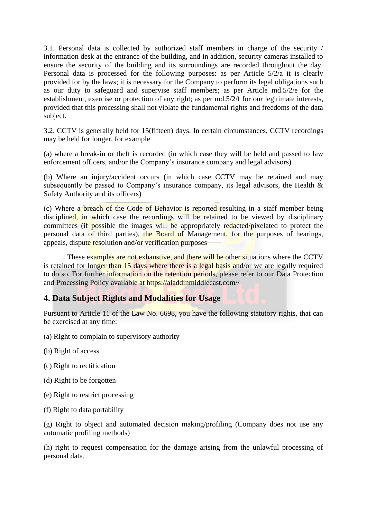3.1. Personal data is collected by authorized staff members in charge of the security / information desk at the entrance of the building, and in addition, security cameras installed to ensure the security of the building and its surroundings are recorded throughout the day. Personal data is processed for the following purposes: as per Article 5/2/a it is clearly provided for by the laws; it is necessary for the Company to perform its legal obligations such as our duty to safeguard and supervise staff members; as per Article md.5/2/e for the establishment, exercise or protection of any right; as per md.5/2/f for our legitimate interests, provided that this processing shall not violate the fundamental rights and freedoms of the data subject.

3.2. CCTV is generally held for 15(fifteen) days. In certain circumstances, CCTV recordings may be held for longer, for example

(a) where a break-in or theft is recorded (in which case they will be held and passed to law enforcement officers, and/or the Company's insurance company and legal advisors)

(b) Where an injury/accident occurs (in which case CCTV may be retained and may subsequently be passed to Company's insurance company, its legal advisors, the Health & Safety Authority and its officers)

(c) Where a breach of the Code of Behavior is reported resulting in a staff member being disciplined, in which case the recordings will be retained to be viewed by disciplinary committees (if possible the images will be appropriately redacted/pixelated to protect the personal data of third parties), the Board of Management, for the purposes of hearings, appeals, dispute resolution and/or verification purposes

These examples are not exhaustive, and there will be other situations where the CCTV is retained for longer than 15 days where there is a legal basis and/or we are legally required to do so. For further information on the retention periods, please refer to our Data Protection and Processing Policy available at https://aladdinmiddleeast.com//

### **4. Data Subject Rights and Modalities for Usage**

Pursuant to Article 11 of the Law No. 6698, you have the following statutory rights, that can be exercised at any time:

- (a) Right to complain to supervisory authority
- (b) Right of access
- (c) Right to rectification
- (d) Right to be forgotten
- (e) Right to restrict processing
- (f) Right to data portability

(g) Right to object and automated decision making/profiling (Company does not use any automatic profiling methods)

(h) right to request compensation for the damage arising from the unlawful processing of personal data.